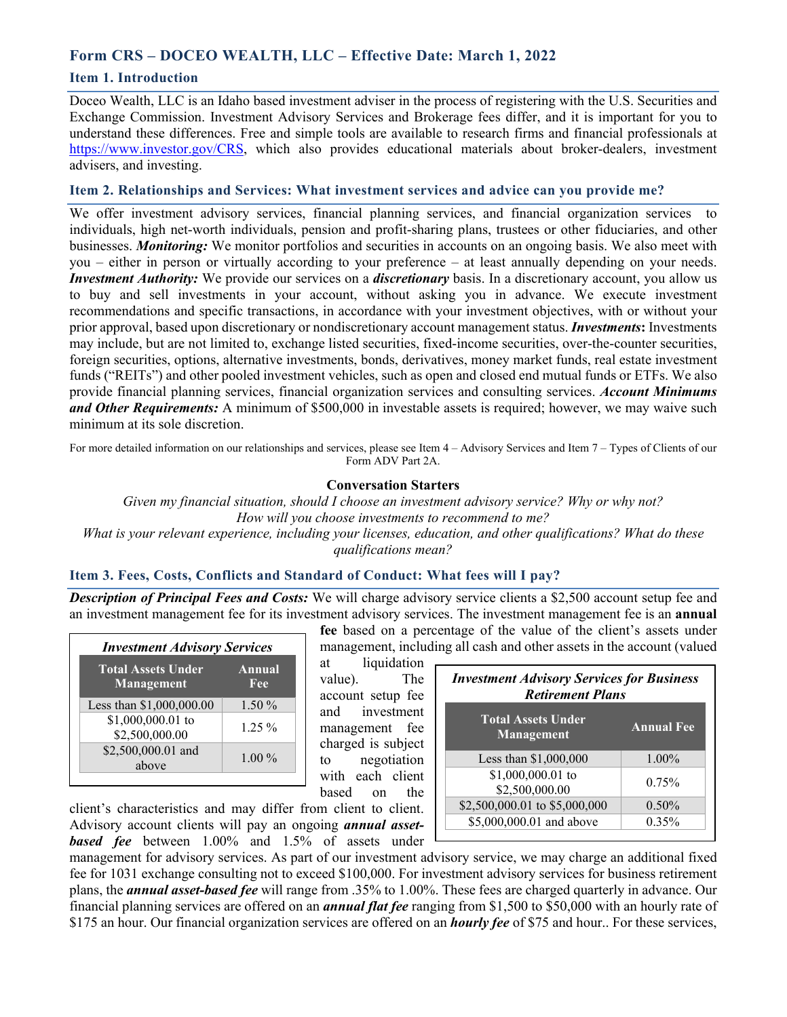# **Form CRS – DOCEO WEALTH, LLC – Effective Date: March 1, 2022**

### **Item 1. Introduction**

Doceo Wealth, LLC is an Idaho based investment adviser in the process of registering with the U.S. Securities and Exchange Commission. Investment Advisory Services and Brokerage fees differ, and it is important for you to understand these differences. Free and simple tools are available to research firms and financial professionals at https://www.investor.gov/CRS, which also provides educational materials about broker-dealers, investment advisers, and investing.

### **Item 2. Relationships and Services: What investment services and advice can you provide me?**

We offer investment advisory services, financial planning services, and financial organization services to individuals, high net-worth individuals, pension and profit-sharing plans, trustees or other fiduciaries, and other businesses. *Monitoring:* We monitor portfolios and securities in accounts on an ongoing basis. We also meet with you – either in person or virtually according to your preference – at least annually depending on your needs. *Investment Authority:* We provide our services on a *discretionary* basis. In a discretionary account, you allow us to buy and sell investments in your account, without asking you in advance. We execute investment recommendations and specific transactions, in accordance with your investment objectives, with or without your prior approval, based upon discretionary or nondiscretionary account management status. *Investments***:** Investments may include, but are not limited to, exchange listed securities, fixed-income securities, over-the-counter securities, foreign securities, options, alternative investments, bonds, derivatives, money market funds, real estate investment funds ("REITs") and other pooled investment vehicles, such as open and closed end mutual funds or ETFs. We also provide financial planning services, financial organization services and consulting services. *Account Minimums and Other Requirements:* A minimum of \$500,000 in investable assets is required; however, we may waive such minimum at its sole discretion.

For more detailed information on our relationships and services, please see Item 4 – Advisory Services and Item 7 – Types of Clients of our Form ADV Part 2A.

### **Conversation Starters**

*Given my financial situation, should I choose an investment advisory service? Why or why not? How will you choose investments to recommend to me? What is your relevant experience, including your licenses, education, and other qualifications? What do these qualifications mean?*

## **Item 3. Fees, Costs, Conflicts and Standard of Conduct: What fees will I pay?**

*Description of Principal Fees and Costs:* We will charge advisory service clients a \$2,500 account setup fee and an investment management fee for its investment advisory services. The investment management fee is an **annual** 

| <b>Investment Advisory Services</b>     |               |
|-----------------------------------------|---------------|
| <b>Total Assets Under</b><br>Management | Annual<br>Fee |
| Less than \$1,000,000.00                | $1.50\%$      |
| \$1,000,000.01 to<br>\$2,500,000.00     | $1.25 \%$     |
| \$2,500,000.01 and<br>above             | $1.00\%$      |

**fee** based on a percentage of the value of the client's assets under management, including all cash and other assets in the account (valued

at liquidation value). The account setup fee and investment management fee charged is subject to negotiation with each client based on the

| <b>Investment Advisory Services for Business</b><br><b>Retirement Plans</b> |                   |
|-----------------------------------------------------------------------------|-------------------|
| <b>Total Assets Under</b><br>Management                                     | <b>Annual Fee</b> |
| Less than \$1,000,000                                                       | $1.00\%$          |
| \$1,000,000.01 to<br>\$2,500,000.00                                         | 0.75%             |
| \$2,500,000.01 to \$5,000,000                                               | $0.50\%$          |
| \$5,000,000.01 and above                                                    | 0.35%             |

client's characteristics and may differ from client to client. Advisory account clients will pay an ongoing *annual assetbased fee* between 1.00% and 1.5% of assets under

management for advisory services. As part of our investment advisory service, we may charge an additional fixed fee for 1031 exchange consulting not to exceed \$100,000. For investment advisory services for business retirement plans, the *annual asset-based fee* will range from .35% to 1.00%. These fees are charged quarterly in advance. Our financial planning services are offered on an *annual flat fee* ranging from \$1,500 to \$50,000 with an hourly rate of \$175 an hour. Our financial organization services are offered on an *hourly fee* of \$75 and hour.. For these services,